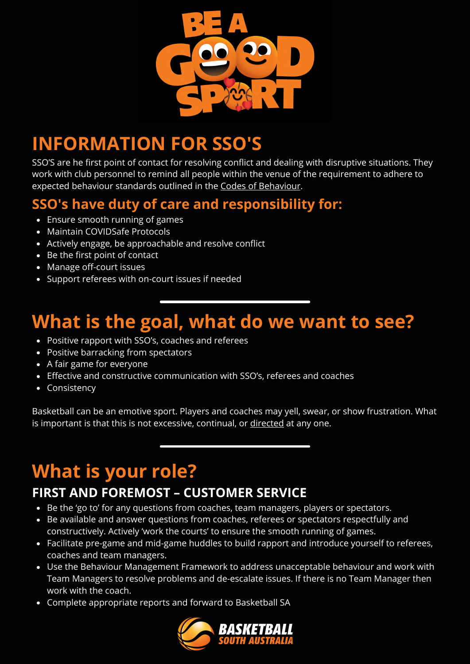

# **INFORMATION FOR SSO'S**

SSO'S are he first point of contact for resolving conflict and dealing with disruptive situations. They work with club personnel to remind all people within the venue of the requirement to adhere to expected behaviour standards outlined in the Codes of [Behaviour.](https://basketballsa.com.au/wp-content/uploads/2021/09/Member-Protection-Codes-of-Conduct.pdf)

#### **SSO's have duty of care and responsibility for:**

- Ensure smooth running of games
- Maintain COVIDSafe Protocols
- Actively engage, be approachable and resolve conflict
- Be the first point of contact
- Manage off-court issues
- Support referees with on-court issues if needed

# **What is the goal, what do we want to see?**

- Positive rapport with SSO's, coaches and referees
- Positive barracking from spectators
- A fair game for everyone
- Effective and constructive communication with SSO's, referees and coaches
- Consistency

Basketball can be an emotive sport. Players and coaches may yell, swear, or show frustration. What is important is that this is not excessive, continual, or directed at any one.

# **What is your role?**

#### **FIRST AND FOREMOST – CUSTOMER SERVICE**

- Be the 'go to' for any questions from coaches, team managers, players or spectators.
- Be available and answer questions from coaches, referees or spectators respectfully and constructively. Actively 'work the courts' to ensure the smooth running of games.
- Facilitate pre-game and mid-game huddles to build rapport and introduce yourself to referees, coaches and team managers.
- Use the Behaviour Management Framework to address unacceptable behaviour and work with Team Managers to resolve problems and de-escalate issues. If there is no Team Manager then work with the coach.
- Complete appropriate reports and forward to Basketball SA

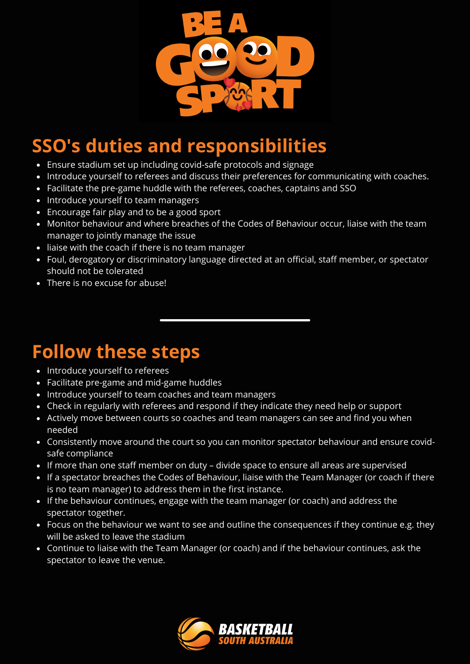

### **SSO's duties and responsibilities**

- Ensure stadium set up including covid-safe protocols and signage
- Introduce yourself to referees and discuss their preferences for communicating with coaches.
- Facilitate the pre-game huddle with the referees, coaches, captains and SSO
- Introduce yourself to team managers
- Encourage fair play and to be a good sport
- Monitor behaviour and where breaches of the Codes of Behaviour occur, liaise with the team manager to jointly manage the issue
- liaise with the coach if there is no team manager
- Foul, derogatory or discriminatory language directed at an official, staff member, or spectator should not be tolerated
- There is no excuse for abuse!

#### **Follow these steps**

- Introduce yourself to referees
- Facilitate pre-game and mid-game huddles
- Introduce yourself to team coaches and team managers
- Check in regularly with referees and respond if they indicate they need help or support
- Actively move between courts so coaches and team managers can see and find you when needed
- Consistently move around the court so you can monitor spectator behaviour and ensure covidsafe compliance
- If more than one staff member on duty divide space to ensure all areas are supervised
- If a spectator breaches the Codes of Behaviour, liaise with the Team Manager (or coach if there is no team manager) to address them in the first instance.
- If the behaviour continues, engage with the team manager (or coach) and address the spectator together.
- Focus on the behaviour we want to see and outline the consequences if they continue e.g. they will be asked to leave the stadium
- Continue to liaise with the Team Manager (or coach) and if the behaviour continues, ask the spectator to leave the venue.